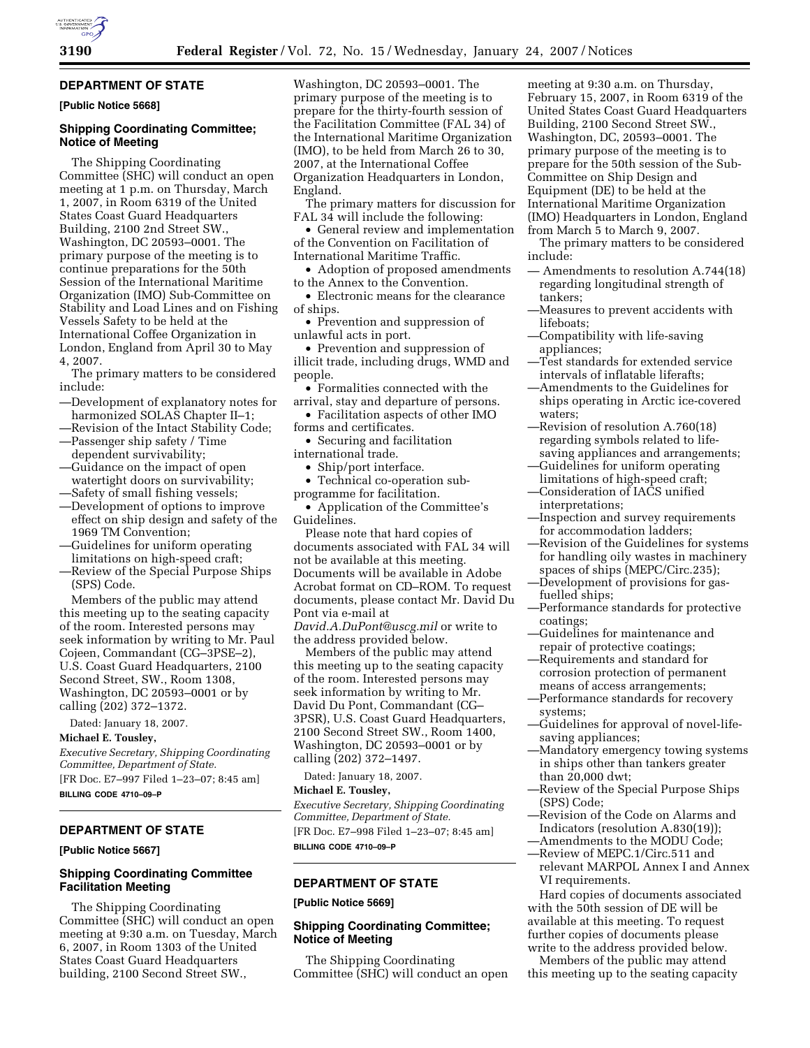

## **DEPARTMENT OF STATE**

#### **[Public Notice 5668]**

## **Shipping Coordinating Committee; Notice of Meeting**

The Shipping Coordinating Committee (SHC) will conduct an open meeting at 1 p.m. on Thursday, March 1, 2007, in Room 6319 of the United States Coast Guard Headquarters Building, 2100 2nd Street SW., Washington, DC 20593–0001. The primary purpose of the meeting is to continue preparations for the 50th Session of the International Maritime Organization (IMO) Sub-Committee on Stability and Load Lines and on Fishing Vessels Safety to be held at the International Coffee Organization in London, England from April 30 to May 4, 2007.

The primary matters to be considered include:

- —Development of explanatory notes for harmonized SOLAS Chapter II–1;
- —Revision of the Intact Stability Code;
- —Passenger ship safety / Time dependent survivability;
- —Guidance on the impact of open watertight doors on survivability;
- —Safety of small fishing vessels;
- —Development of options to improve effect on ship design and safety of the 1969 TM Convention;
- —Guidelines for uniform operating limitations on high-speed craft;
- —Review of the Special Purpose Ships (SPS) Code.

Members of the public may attend this meeting up to the seating capacity of the room. Interested persons may seek information by writing to Mr. Paul Cojeen, Commandant (CG–3PSE–2), U.S. Coast Guard Headquarters, 2100 Second Street, SW., Room 1308, Washington, DC 20593–0001 or by calling (202) 372–1372.

Dated: January 18, 2007.

# **Michael E. Tousley,**

*Executive Secretary, Shipping Coordinating Committee, Department of State.*  [FR Doc. E7–997 Filed 1–23–07; 8:45 am]

**BILLING CODE 4710–09–P** 

#### **DEPARTMENT OF STATE**

**[Public Notice 5667]** 

## **Shipping Coordinating Committee Facilitation Meeting**

The Shipping Coordinating Committee (SHC) will conduct an open meeting at 9:30 a.m. on Tuesday, March 6, 2007, in Room 1303 of the United States Coast Guard Headquarters building, 2100 Second Street SW.,

Washington, DC 20593–0001. The primary purpose of the meeting is to prepare for the thirty-fourth session of the Facilitation Committee (FAL 34) of the International Maritime Organization (IMO), to be held from March 26 to 30, 2007, at the International Coffee Organization Headquarters in London, England.

The primary matters for discussion for FAL 34 will include the following:

• General review and implementation of the Convention on Facilitation of International Maritime Traffic.

• Adoption of proposed amendments to the Annex to the Convention.

• Electronic means for the clearance of ships.

• Prevention and suppression of unlawful acts in port.

• Prevention and suppression of illicit trade, including drugs, WMD and people.

• Formalities connected with the arrival, stay and departure of persons.

• Facilitation aspects of other IMO forms and certificates.

• Securing and facilitation international trade.

• Ship/port interface.

• Technical co-operation subprogramme for facilitation.

• Application of the Committee's Guidelines.

Please note that hard copies of documents associated with FAL 34 will not be available at this meeting. Documents will be available in Adobe Acrobat format on CD–ROM. To request documents, please contact Mr. David Du Pont via e-mail at

*David.A.DuPont@uscg.mil* or write to the address provided below.

Members of the public may attend this meeting up to the seating capacity of the room. Interested persons may seek information by writing to Mr. David Du Pont, Commandant (CG– 3PSR), U.S. Coast Guard Headquarters, 2100 Second Street SW., Room 1400, Washington, DC 20593–0001 or by calling (202) 372–1497.

Dated: January 18, 2007.

#### **Michael E. Tousley,**

*Executive Secretary, Shipping Coordinating Committee, Department of State.*  [FR Doc. E7–998 Filed 1–23–07; 8:45 am] **BILLING CODE 4710–09–P** 

### **DEPARTMENT OF STATE**

**[Public Notice 5669]** 

### **Shipping Coordinating Committee; Notice of Meeting**

The Shipping Coordinating Committee (SHC) will conduct an open

meeting at 9:30 a.m. on Thursday, February 15, 2007, in Room 6319 of the United States Coast Guard Headquarters Building, 2100 Second Street SW., Washington, DC, 20593–0001. The primary purpose of the meeting is to prepare for the 50th session of the Sub-Committee on Ship Design and Equipment (DE) to be held at the International Maritime Organization (IMO) Headquarters in London, England from March 5 to March 9, 2007.

The primary matters to be considered include:

- Amendments to resolution A.744(18) regarding longitudinal strength of tankers;
- —Measures to prevent accidents with lifeboats;
- —Compatibility with life-saving appliances;
- —Test standards for extended service intervals of inflatable liferafts;
- —Amendments to the Guidelines for ships operating in Arctic ice-covered waters;
- —Revision of resolution A.760(18) regarding symbols related to lifesaving appliances and arrangements;
- —Guidelines for uniform operating limitations of high-speed craft;
- —Consideration of IACS unified interpretations;
- —Inspection and survey requirements for accommodation ladders;
- —Revision of the Guidelines for systems for handling oily wastes in machinery spaces of ships (MEPC/Circ.235);
- —Development of provisions for gasfuelled ships;
- —Performance standards for protective coatings;
- —Guidelines for maintenance and repair of protective coatings;
- —Requirements and standard for corrosion protection of permanent means of access arrangements; —Performance standards for recovery
- systems;
- —Guidelines for approval of novel-lifesaving appliances;
- —Mandatory emergency towing systems in ships other than tankers greater than 20,000 dwt;
- —Review of the Special Purpose Ships (SPS) Code;
- —Revision of the Code on Alarms and Indicators (resolution A.830(19));
- —Amendments to the MODU Code; —Review of MEPC.1/Circ.511 and

relevant MARPOL Annex I and Annex VI requirements.

Hard copies of documents associated with the 50th session of DE will be available at this meeting. To request further copies of documents please write to the address provided below.

Members of the public may attend this meeting up to the seating capacity